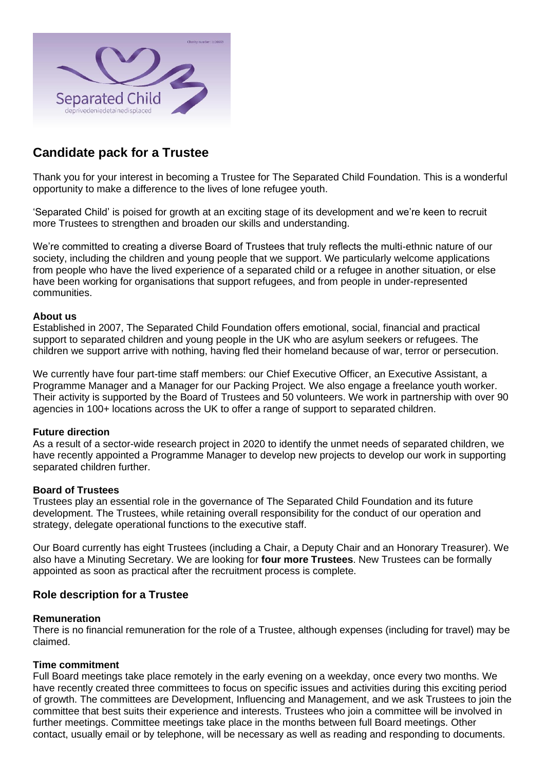

# **Candidate pack for a Trustee**

Thank you for your interest in becoming a Trustee for The Separated Child Foundation. This is a wonderful opportunity to make a difference to the lives of lone refugee youth.

'Separated Child' is poised for growth at an exciting stage of its development and we're keen to recruit more Trustees to strengthen and broaden our skills and understanding.

We're committed to creating a diverse Board of Trustees that truly reflects the multi-ethnic nature of our society, including the children and young people that we support. We particularly welcome applications from people who have the lived experience of a separated child or a refugee in another situation, or else have been working for organisations that support refugees, and from people in under-represented communities.

### **About us**

Established in 2007, The Separated Child Foundation offers emotional, social, financial and practical support to separated children and young people in the UK who are asylum seekers or refugees. The children we support arrive with nothing, having fled their homeland because of war, terror or persecution.

We currently have four part-time staff members: our Chief Executive Officer, an Executive Assistant, a Programme Manager and a Manager for our Packing Project. We also engage a freelance youth worker. Their activity is supported by the Board of Trustees and 50 volunteers. We work in partnership with over 90 agencies in 100+ locations across the UK to offer a range of support to separated children.

### **Future direction**

As a result of a sector-wide research project in 2020 to identify the unmet needs of separated children, we have recently appointed a Programme Manager to develop new projects to develop our work in supporting separated children further.

### **Board of Trustees**

Trustees play an essential role in the governance of The Separated Child Foundation and its future development. The Trustees, while retaining overall responsibility for the conduct of our operation and strategy, delegate operational functions to the executive staff.

Our Board currently has eight Trustees (including a Chair, a Deputy Chair and an Honorary Treasurer). We also have a Minuting Secretary. We are looking for **four more Trustees**. New Trustees can be formally appointed as soon as practical after the recruitment process is complete.

### **Role description for a Trustee**

#### **Remuneration**

There is no financial remuneration for the role of a Trustee, although expenses (including for travel) may be claimed.

#### **Time commitment**

Full Board meetings take place remotely in the early evening on a weekday, once every two months. We have recently created three committees to focus on specific issues and activities during this exciting period of growth. The committees are Development, Influencing and Management, and we ask Trustees to join the committee that best suits their experience and interests. Trustees who join a committee will be involved in further meetings. Committee meetings take place in the months between full Board meetings. Other contact, usually email or by telephone, will be necessary as well as reading and responding to documents.